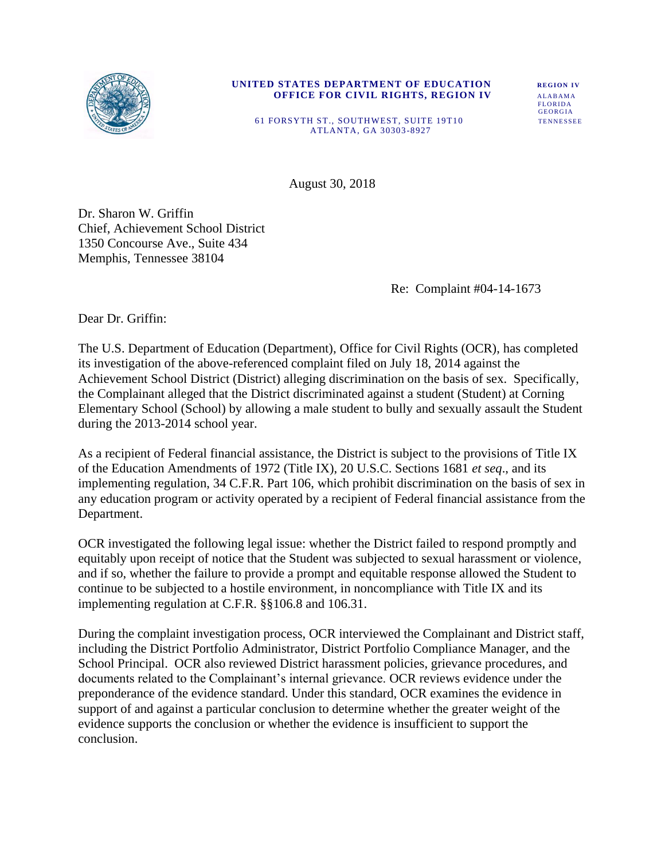

#### **UNITED STATES DEPARTMENT OF EDUCATION REGION IV OFFICE FOR CIVIL RIGHTS, REGION IV ALABAMA**

**FLORIDA** GEORGIA<br>TENNESSEE

61 FORSYTH ST., SOUTHWEST, SUITE 19T10 ATLANTA, GA 30303 -8927

August 30, 2018

Dr. Sharon W. Griffin Chief, Achievement School District 1350 Concourse Ave., Suite 434 Memphis, Tennessee 38104

Re: Complaint #04-14-1673

Dear Dr. Griffin:

The U.S. Department of Education (Department), Office for Civil Rights (OCR), has completed its investigation of the above-referenced complaint filed on July 18, 2014 against the Achievement School District (District) alleging discrimination on the basis of sex. Specifically, the Complainant alleged that the District discriminated against a student (Student) at Corning Elementary School (School) by allowing a male student to bully and sexually assault the Student during the 2013-2014 school year.

As a recipient of Federal financial assistance, the District is subject to the provisions of Title IX of the Education Amendments of 1972 (Title IX), 20 U.S.C. Sections 1681 *et seq*., and its implementing regulation, 34 C.F.R. Part 106, which prohibit discrimination on the basis of sex in any education program or activity operated by a recipient of Federal financial assistance from the Department.

OCR investigated the following legal issue: whether the District failed to respond promptly and equitably upon receipt of notice that the Student was subjected to sexual harassment or violence, and if so, whether the failure to provide a prompt and equitable response allowed the Student to continue to be subjected to a hostile environment, in noncompliance with Title IX and its implementing regulation at C.F.R. §§106.8 and 106.31.

During the complaint investigation process, OCR interviewed the Complainant and District staff, including the District Portfolio Administrator, District Portfolio Compliance Manager, and the School Principal. OCR also reviewed District harassment policies, grievance procedures, and documents related to the Complainant's internal grievance. OCR reviews evidence under the preponderance of the evidence standard. Under this standard, OCR examines the evidence in support of and against a particular conclusion to determine whether the greater weight of the evidence supports the conclusion or whether the evidence is insufficient to support the conclusion.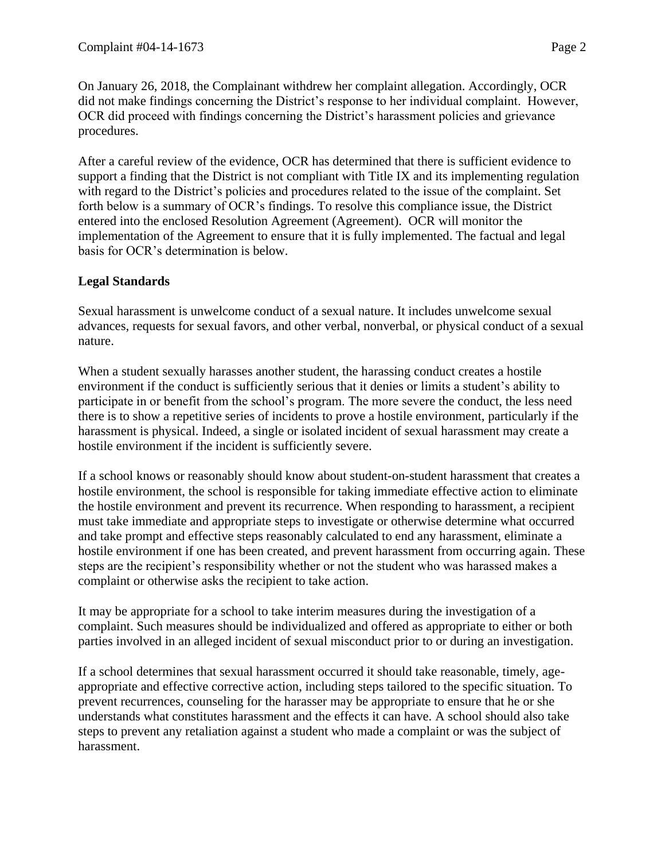On January 26, 2018, the Complainant withdrew her complaint allegation. Accordingly, OCR did not make findings concerning the District's response to her individual complaint. However, OCR did proceed with findings concerning the District's harassment policies and grievance procedures.

After a careful review of the evidence, OCR has determined that there is sufficient evidence to support a finding that the District is not compliant with Title IX and its implementing regulation with regard to the District's policies and procedures related to the issue of the complaint. Set forth below is a summary of OCR's findings. To resolve this compliance issue, the District entered into the enclosed Resolution Agreement (Agreement). OCR will monitor the implementation of the Agreement to ensure that it is fully implemented. The factual and legal basis for OCR's determination is below.

## **Legal Standards**

Sexual harassment is unwelcome conduct of a sexual nature. It includes unwelcome sexual advances, requests for sexual favors, and other verbal, nonverbal, or physical conduct of a sexual nature.

When a student sexually harasses another student, the harassing conduct creates a hostile environment if the conduct is sufficiently serious that it denies or limits a student's ability to participate in or benefit from the school's program. The more severe the conduct, the less need there is to show a repetitive series of incidents to prove a hostile environment, particularly if the harassment is physical. Indeed, a single or isolated incident of sexual harassment may create a hostile environment if the incident is sufficiently severe.

If a school knows or reasonably should know about student-on-student harassment that creates a hostile environment, the school is responsible for taking immediate effective action to eliminate the hostile environment and prevent its recurrence. When responding to harassment, a recipient must take immediate and appropriate steps to investigate or otherwise determine what occurred and take prompt and effective steps reasonably calculated to end any harassment, eliminate a hostile environment if one has been created, and prevent harassment from occurring again. These steps are the recipient's responsibility whether or not the student who was harassed makes a complaint or otherwise asks the recipient to take action.

It may be appropriate for a school to take interim measures during the investigation of a complaint. Such measures should be individualized and offered as appropriate to either or both parties involved in an alleged incident of sexual misconduct prior to or during an investigation.

If a school determines that sexual harassment occurred it should take reasonable, timely, ageappropriate and effective corrective action, including steps tailored to the specific situation. To prevent recurrences, counseling for the harasser may be appropriate to ensure that he or she understands what constitutes harassment and the effects it can have. A school should also take steps to prevent any retaliation against a student who made a complaint or was the subject of harassment.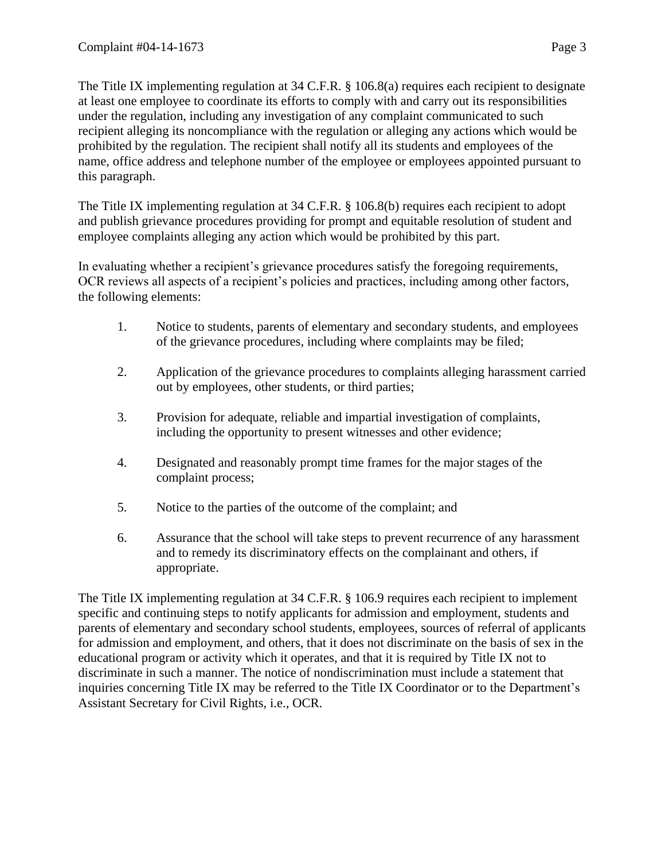The Title IX implementing regulation at 34 C.F.R. § 106.8(a) requires each recipient to designate at least one employee to coordinate its efforts to comply with and carry out its responsibilities under the regulation, including any investigation of any complaint communicated to such recipient alleging its noncompliance with the regulation or alleging any actions which would be prohibited by the regulation. The recipient shall notify all its students and employees of the name, office address and telephone number of the employee or employees appointed pursuant to this paragraph.

The Title IX implementing regulation at 34 C.F.R. § 106.8(b) requires each recipient to adopt and publish grievance procedures providing for prompt and equitable resolution of student and employee complaints alleging any action which would be prohibited by this part.

In evaluating whether a recipient's grievance procedures satisfy the foregoing requirements, OCR reviews all aspects of a recipient's policies and practices, including among other factors, the following elements:

- 1. Notice to students, parents of elementary and secondary students, and employees of the grievance procedures, including where complaints may be filed;
- 2. Application of the grievance procedures to complaints alleging harassment carried out by employees, other students, or third parties;
- 3. Provision for adequate, reliable and impartial investigation of complaints, including the opportunity to present witnesses and other evidence;
- 4. Designated and reasonably prompt time frames for the major stages of the complaint process;
- 5. Notice to the parties of the outcome of the complaint; and
- 6. Assurance that the school will take steps to prevent recurrence of any harassment and to remedy its discriminatory effects on the complainant and others, if appropriate.

The Title IX implementing regulation at 34 C.F.R. § 106.9 requires each recipient to implement specific and continuing steps to notify applicants for admission and employment, students and parents of elementary and secondary school students, employees, sources of referral of applicants for admission and employment, and others, that it does not discriminate on the basis of sex in the educational program or activity which it operates, and that it is required by Title IX not to discriminate in such a manner. The notice of nondiscrimination must include a statement that inquiries concerning Title IX may be referred to the Title IX Coordinator or to the Department's Assistant Secretary for Civil Rights, i.e., OCR.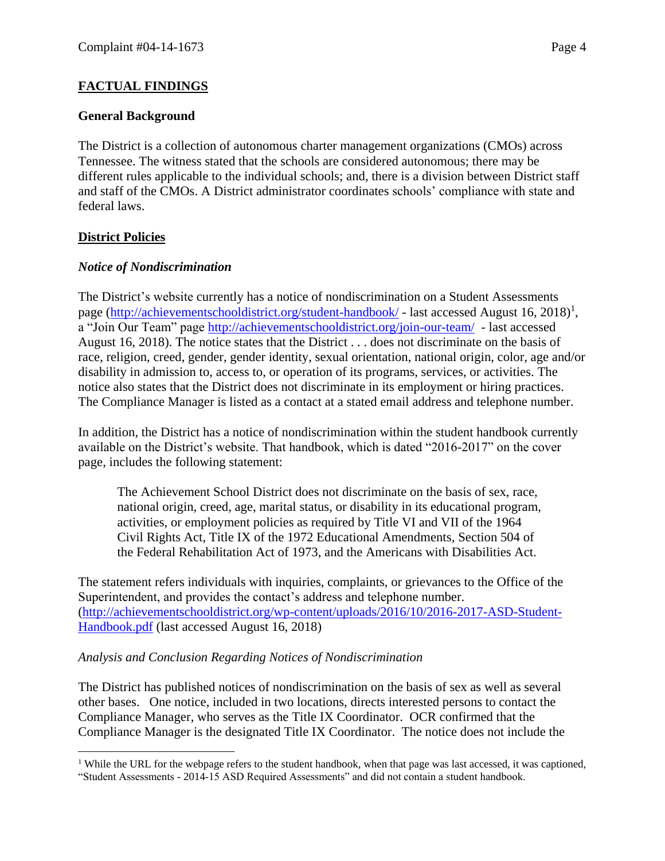## **General Background**

The District is a collection of autonomous charter management organizations (CMOs) across Tennessee. The witness stated that the schools are considered autonomous; there may be different rules applicable to the individual schools; and, there is a division between District staff and staff of the CMOs. A District administrator coordinates schools' compliance with state and federal laws.

## **District Policies**

 $\overline{a}$ 

## *Notice of Nondiscrimination*

The District's website currently has a notice of nondiscrimination on a Student Assessments page [\(http://achievementschooldistrict.org/student-handbook/](http://achievementschooldistrict.org/student-handbook/) - last accessed August 16, 2018)<sup>1</sup>, a "Join Our Team" page<http://achievementschooldistrict.org/join-our-team/> - last accessed August 16, 2018). The notice states that the District . . . does not discriminate on the basis of race, religion, creed, gender, gender identity, sexual orientation, national origin, color, age and/or disability in admission to, access to, or operation of its programs, services, or activities. The notice also states that the District does not discriminate in its employment or hiring practices. The Compliance Manager is listed as a contact at a stated email address and telephone number.

In addition, the District has a notice of nondiscrimination within the student handbook currently available on the District's website. That handbook, which is dated "2016-2017" on the cover page, includes the following statement:

The Achievement School District does not discriminate on the basis of sex, race, national origin, creed, age, marital status, or disability in its educational program, activities, or employment policies as required by Title VI and VII of the 1964 Civil Rights Act, Title IX of the 1972 Educational Amendments, Section 504 of the Federal Rehabilitation Act of 1973, and the Americans with Disabilities Act.

The statement refers individuals with inquiries, complaints, or grievances to the Office of the Superintendent, and provides the contact's address and telephone number. [\(http://achievementschooldistrict.org/wp-content/uploads/2016/10/2016-2017-ASD-Student-](http://achievementschooldistrict.org/wp-content/uploads/2016/10/2016-2017-ASD-Student-Handbook.pdf)[Handbook.pdf](http://achievementschooldistrict.org/wp-content/uploads/2016/10/2016-2017-ASD-Student-Handbook.pdf) (last accessed August 16, 2018)

## *Analysis and Conclusion Regarding Notices of Nondiscrimination*

The District has published notices of nondiscrimination on the basis of sex as well as several other bases. One notice, included in two locations, directs interested persons to contact the Compliance Manager, who serves as the Title IX Coordinator. OCR confirmed that the Compliance Manager is the designated Title IX Coordinator. The notice does not include the

<sup>&</sup>lt;sup>1</sup> While the URL for the webpage refers to the student handbook, when that page was last accessed, it was captioned, "Student Assessments - 2014-15 ASD Required Assessments" and did not contain a student handbook.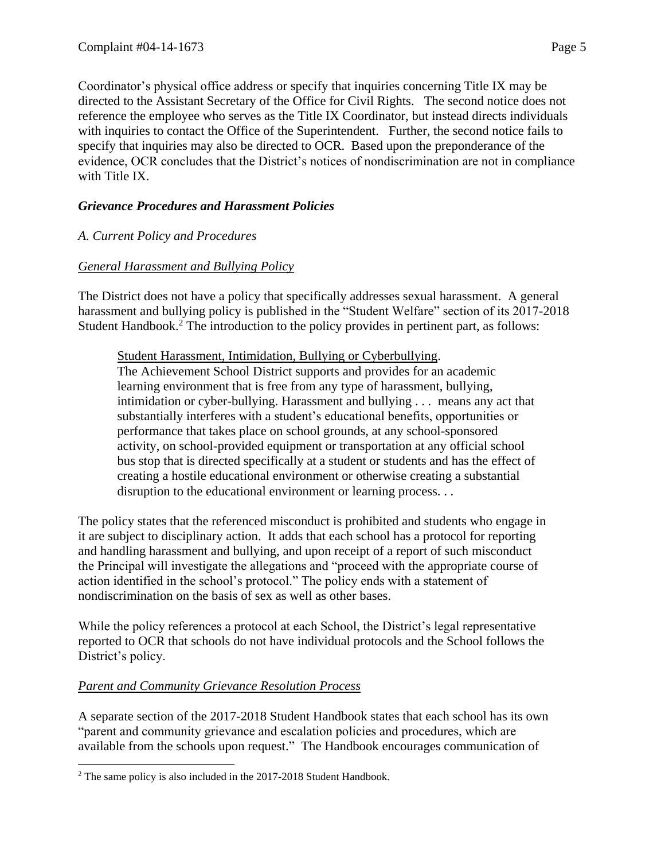Coordinator's physical office address or specify that inquiries concerning Title IX may be directed to the Assistant Secretary of the Office for Civil Rights. The second notice does not reference the employee who serves as the Title IX Coordinator, but instead directs individuals with inquiries to contact the Office of the Superintendent. Further, the second notice fails to specify that inquiries may also be directed to OCR. Based upon the preponderance of the evidence, OCR concludes that the District's notices of nondiscrimination are not in compliance with Title IX.

## *Grievance Procedures and Harassment Policies*

## *A. Current Policy and Procedures*

## *General Harassment and Bullying Policy*

The District does not have a policy that specifically addresses sexual harassment. A general harassment and bullying policy is published in the "Student Welfare" section of its 2017-2018 Student Handbook.<sup>2</sup> The introduction to the policy provides in pertinent part, as follows:

#### Student Harassment, Intimidation, Bullying or Cyberbullying.

The Achievement School District supports and provides for an academic learning environment that is free from any type of harassment, bullying, intimidation or cyber-bullying. Harassment and bullying . . . means any act that substantially interferes with a student's educational benefits, opportunities or performance that takes place on school grounds, at any school-sponsored activity, on school-provided equipment or transportation at any official school bus stop that is directed specifically at a student or students and has the effect of creating a hostile educational environment or otherwise creating a substantial disruption to the educational environment or learning process. . .

The policy states that the referenced misconduct is prohibited and students who engage in it are subject to disciplinary action. It adds that each school has a protocol for reporting and handling harassment and bullying, and upon receipt of a report of such misconduct the Principal will investigate the allegations and "proceed with the appropriate course of action identified in the school's protocol." The policy ends with a statement of nondiscrimination on the basis of sex as well as other bases.

While the policy references a protocol at each School, the District's legal representative reported to OCR that schools do not have individual protocols and the School follows the District's policy.

## *Parent and Community Grievance Resolution Process*

 $\overline{a}$ 

A separate section of the 2017-2018 Student Handbook states that each school has its own "parent and community grievance and escalation policies and procedures, which are available from the schools upon request." The Handbook encourages communication of

<sup>&</sup>lt;sup>2</sup> The same policy is also included in the 2017-2018 Student Handbook.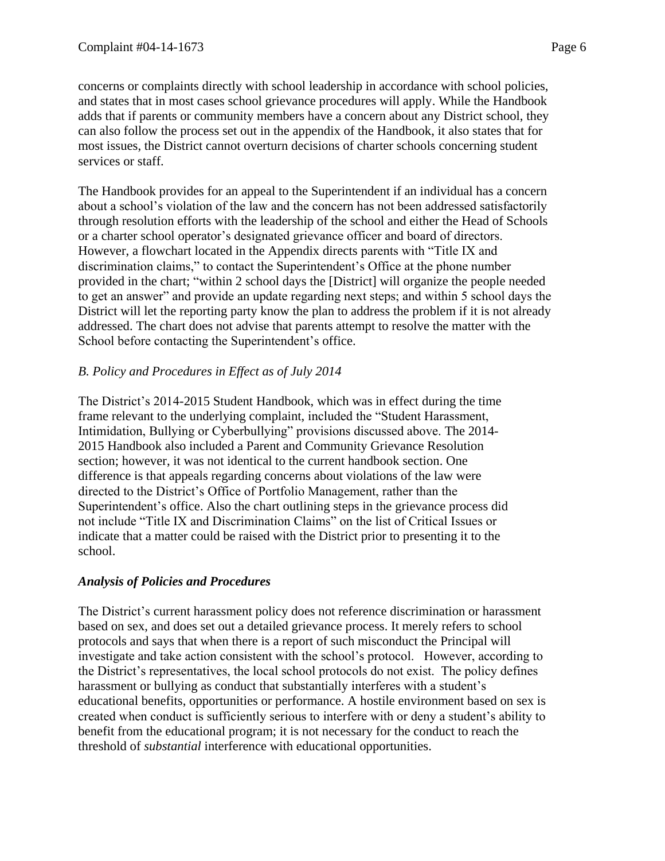concerns or complaints directly with school leadership in accordance with school policies,

and states that in most cases school grievance procedures will apply. While the Handbook adds that if parents or community members have a concern about any District school, they can also follow the process set out in the appendix of the Handbook, it also states that for most issues, the District cannot overturn decisions of charter schools concerning student services or staff.

The Handbook provides for an appeal to the Superintendent if an individual has a concern about a school's violation of the law and the concern has not been addressed satisfactorily through resolution efforts with the leadership of the school and either the Head of Schools or a charter school operator's designated grievance officer and board of directors. However, a flowchart located in the Appendix directs parents with "Title IX and discrimination claims," to contact the Superintendent's Office at the phone number provided in the chart; "within 2 school days the [District] will organize the people needed to get an answer" and provide an update regarding next steps; and within 5 school days the District will let the reporting party know the plan to address the problem if it is not already addressed. The chart does not advise that parents attempt to resolve the matter with the School before contacting the Superintendent's office.

# *B. Policy and Procedures in Effect as of July 2014*

The District's 2014-2015 Student Handbook, which was in effect during the time frame relevant to the underlying complaint, included the "Student Harassment, Intimidation, Bullying or Cyberbullying" provisions discussed above. The 2014- 2015 Handbook also included a Parent and Community Grievance Resolution section; however, it was not identical to the current handbook section. One difference is that appeals regarding concerns about violations of the law were directed to the District's Office of Portfolio Management, rather than the Superintendent's office. Also the chart outlining steps in the grievance process did not include "Title IX and Discrimination Claims" on the list of Critical Issues or indicate that a matter could be raised with the District prior to presenting it to the school.

# *Analysis of Policies and Procedures*

The District's current harassment policy does not reference discrimination or harassment based on sex, and does set out a detailed grievance process. It merely refers to school protocols and says that when there is a report of such misconduct the Principal will investigate and take action consistent with the school's protocol. However, according to the District's representatives, the local school protocols do not exist. The policy defines harassment or bullying as conduct that substantially interferes with a student's educational benefits, opportunities or performance. A hostile environment based on sex is created when conduct is sufficiently serious to interfere with or deny a student's ability to benefit from the educational program; it is not necessary for the conduct to reach the threshold of *substantial* interference with educational opportunities.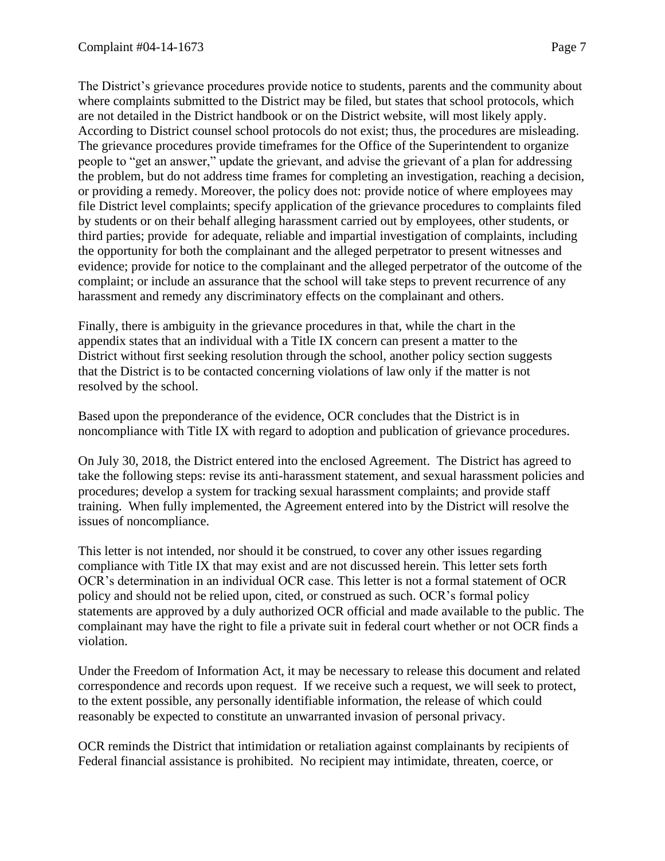The District's grievance procedures provide notice to students, parents and the community about where complaints submitted to the District may be filed, but states that school protocols, which are not detailed in the District handbook or on the District website, will most likely apply. According to District counsel school protocols do not exist; thus, the procedures are misleading. The grievance procedures provide timeframes for the Office of the Superintendent to organize people to "get an answer," update the grievant, and advise the grievant of a plan for addressing the problem, but do not address time frames for completing an investigation, reaching a decision, or providing a remedy. Moreover, the policy does not: provide notice of where employees may file District level complaints; specify application of the grievance procedures to complaints filed by students or on their behalf alleging harassment carried out by employees, other students, or third parties; provide for adequate, reliable and impartial investigation of complaints, including the opportunity for both the complainant and the alleged perpetrator to present witnesses and evidence; provide for notice to the complainant and the alleged perpetrator of the outcome of the complaint; or include an assurance that the school will take steps to prevent recurrence of any harassment and remedy any discriminatory effects on the complainant and others.

Finally, there is ambiguity in the grievance procedures in that, while the chart in the appendix states that an individual with a Title IX concern can present a matter to the District without first seeking resolution through the school, another policy section suggests that the District is to be contacted concerning violations of law only if the matter is not resolved by the school.

Based upon the preponderance of the evidence, OCR concludes that the District is in noncompliance with Title IX with regard to adoption and publication of grievance procedures.

On July 30, 2018, the District entered into the enclosed Agreement. The District has agreed to take the following steps: revise its anti-harassment statement, and sexual harassment policies and procedures; develop a system for tracking sexual harassment complaints; and provide staff training. When fully implemented, the Agreement entered into by the District will resolve the issues of noncompliance.

This letter is not intended, nor should it be construed, to cover any other issues regarding compliance with Title IX that may exist and are not discussed herein. This letter sets forth OCR's determination in an individual OCR case. This letter is not a formal statement of OCR policy and should not be relied upon, cited, or construed as such. OCR's formal policy statements are approved by a duly authorized OCR official and made available to the public. The complainant may have the right to file a private suit in federal court whether or not OCR finds a violation.

Under the Freedom of Information Act, it may be necessary to release this document and related correspondence and records upon request. If we receive such a request, we will seek to protect, to the extent possible, any personally identifiable information, the release of which could reasonably be expected to constitute an unwarranted invasion of personal privacy.

OCR reminds the District that intimidation or retaliation against complainants by recipients of Federal financial assistance is prohibited. No recipient may intimidate, threaten, coerce, or